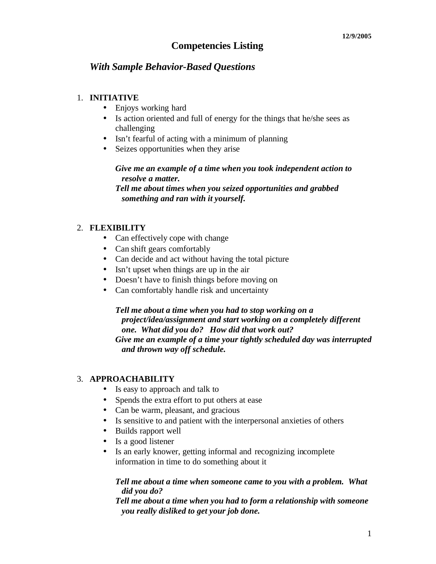# **Competencies Listing**

# *With Sample Behavior-Based Questions*

## 1. **INITIATIVE**

- Enjoys working hard
- Is action oriented and full of energy for the things that he/she sees as challenging
- Isn't fearful of acting with a minimum of planning
- Seizes opportunities when they arise

## *Give me an example of a time when you took independent action to resolve a matter.*

*Tell me about times when you seized opportunities and grabbed something and ran with it yourself.*

## 2. **FLEXIBILITY**

- Can effectively cope with change
- Can shift gears comfortably
- Can decide and act without having the total picture
- Isn't upset when things are up in the air
- Doesn't have to finish things before moving on
- Can comfortably handle risk and uncertainty

## *Tell me about a time when you had to stop working on a project/idea/assignment and start working on a completely different one. What did you do? How did that work out? Give me an example of a time your tightly scheduled day was interrupted*

*and thrown way off schedule.*

## 3. **APPROACHABILITY**

- Is easy to approach and talk to
- Spends the extra effort to put others at ease
- Can be warm, pleasant, and gracious
- Is sensitive to and patient with the interpersonal anxieties of others
- Builds rapport well
- Is a good listener
- Is an early knower, getting informal and recognizing incomplete information in time to do something about it

## *Tell me about a time when someone came to you with a problem. What did you do?*

*Tell me about a time when you had to form a relationship with someone you really disliked to get your job done.*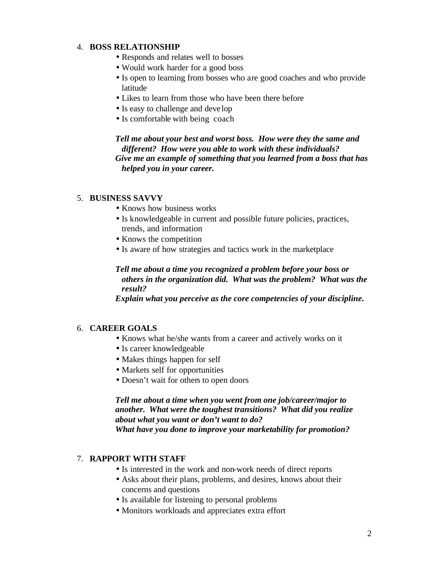# 4. **BOSS RELATIONSHIP**

- Responds and relates well to bosses
- Would work harder for a good boss
- Is open to learning from bosses who are good coaches and who provide latitude
- Likes to learn from those who have been there before
- Is easy to challenge and develop
- Is comfortable with being coach

*Tell me about your best and worst boss. How were they the same and different? How were you able to work with these individuals? Give me an example of something that you learned from a boss that has helped you in your career.*

## 5. **BUSINESS SAVVY**

- Knows how business works
- Is knowledgeable in current and possible future policies, practices, trends, and information
- Knows the competition
- Is aware of how strategies and tactics work in the marketplace

## *Tell me about a time you recognized a problem before your boss or others in the organization did. What was the problem? What was the result?*

*Explain what you perceive as the core competencies of your discipline.*

# 6. **CAREER GOALS**

- Knows what he/she wants from a career and actively works on it
- Is career knowledgeable
- Makes things happen for self
- Markets self for opportunities
- Doesn't wait for others to open doors

# *Tell me about a time when you went from one job/career/major to another. What were the toughest transitions? What did you realize about what you want or don't want to do? What have you done to improve your marketability for promotion?*

## 7. **RAPPORT WITH STAFF**

- Is interested in the work and non-work needs of direct reports
- Asks about their plans, problems, and desires, knows about their concerns and questions
- Is available for listening to personal problems
- Monitors workloads and appreciates extra effort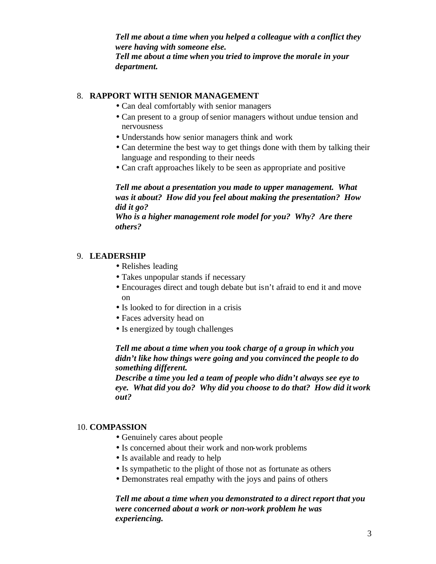*Tell me about a time when you helped a colleague with a conflict they were having with someone else. Tell me about a time when you tried to improve the morale in your department.*

## 8. **RAPPORT WITH SENIOR MANAGEMENT**

- Can deal comfortably with senior managers
- Can present to a group of senior managers without undue tension and nervousness
- Understands how senior managers think and work
- Can determine the best way to get things done with them by talking their language and responding to their needs
- Can craft approaches likely to be seen as appropriate and positive

*Tell me about a presentation you made to upper management. What was it about? How did you feel about making the presentation? How did it go?*

*Who is a higher management role model for you? Why? Are there others?*

## 9. **LEADERSHIP**

- Relishes leading
- Takes unpopular stands if necessary
- Encourages direct and tough debate but isn't afraid to end it and move on
- Is looked to for direction in a crisis
- Faces adversity head on
- Is energized by tough challenges

# *Tell me about a time when you took charge of a group in which you didn't like how things were going and you convinced the people to do something different.*

*Describe a time you led a team of people who didn't always see eye to eye. What did you do? Why did you choose to do that? How did it work out?*

## 10. **COMPASSION**

- Genuinely cares about people
- Is concerned about their work and non-work problems
- Is available and ready to help
- Is sympathetic to the plight of those not as fortunate as others
- Demonstrates real empathy with the joys and pains of others

# *Tell me about a time when you demonstrated to a direct report that you were concerned about a work or non-work problem he was experiencing.*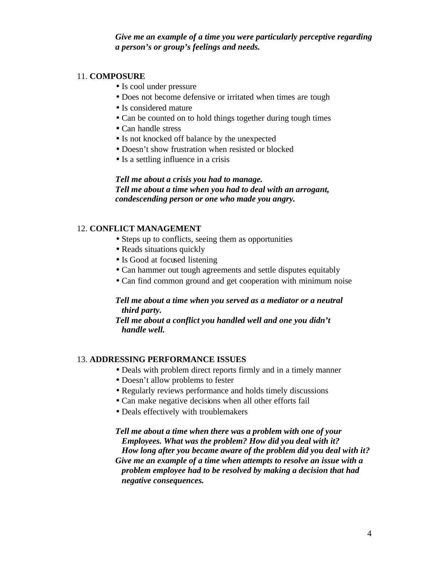*Give me an example of a time you were particularly perceptive regarding a person's or group's feelings and needs.*

# 11. **COMPOSURE**

- Is cool under pressure
- Does not become defensive or irritated when times are tough
- Is considered mature
- Can be counted on to hold things together during tough times
- Can handle stress
- Is not knocked off balance by the unexpected
- Doesn't show frustration when resisted or blocked
- Is a settling influence in a crisis

### *Tell me about a crisis you had to manage. Tell me about a time when you had to deal with an arrogant, condescending person or one who made you angry.*

## 12. **CONFLICT MANAGEMENT**

- Steps up to conflicts, seeing them as opportunities
- Reads situations quickly
- Is Good at focused listening
- Can hammer out tough agreements and settle disputes equitably
- Can find common ground and get cooperation with minimum noise

## *Tell me about a time when you served as a mediator or a neutral third party.*

*Tell me about a conflict you handled well and one you didn't handle well.* 

## 13. **ADDRESSING PERFORMANCE ISSUES**

- Deals with problem direct reports firmly and in a timely manner
- Doesn't allow problems to fester
- Regularly reviews performance and holds timely discussions
- Can make negative decisions when all other efforts fail
- Deals effectively with troublemakers

*Tell me about a time when there was a problem with one of your Employees. What was the problem? How did you deal with it? How long after you became aware of the problem did you deal with it? Give me an example of a time when attempts to resolve an issue with a problem employee had to be resolved by making a decision that had negative consequences.*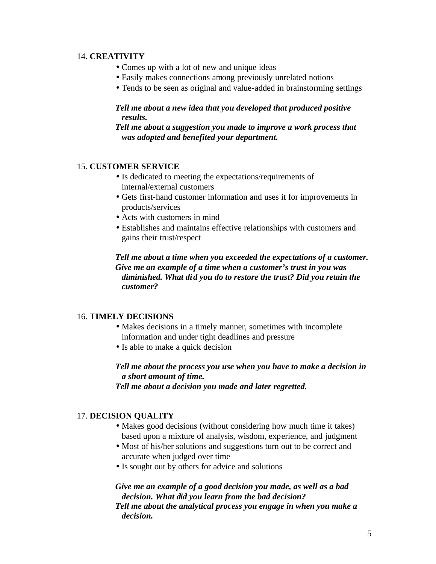#### 14. **CREATIVITY**

- Comes up with a lot of new and unique ideas
- Easily makes connections among previously unrelated notions
- Tends to be seen as original and value-added in brainstorming settings

# *Tell me about a new idea that you developed that produced positive results.*

## *Tell me about a suggestion you made to improve a work process that was adopted and benefited your department.*

## 15. **CUSTOMER SERVICE**

- Is dedicated to meeting the expectations/requirements of internal/external customers
- Gets first-hand customer information and uses it for improvements in products/services
- Acts with customers in mind
- Establishes and maintains effective relationships with customers and gains their trust/respect

*Tell me about a time when you exceeded the expectations of a customer. Give me an example of a time when a customer's trust in you was diminished. What did you do to restore the trust? Did you retain the customer?*

## 16. **TIMELY DECISIONS**

- Makes decisions in a timely manner, sometimes with incomplete information and under tight deadlines and pressure
- Is able to make a quick decision

# *Tell me about the process you use when you have to make a decision in a short amount of time.*

*Tell me about a decision you made and later regretted.*

## 17. **DECISION QUALITY**

- Makes good decisions (without considering how much time it takes) based upon a mixture of analysis, wisdom, experience, and judgment
- Most of his/her solutions and suggestions turn out to be correct and accurate when judged over time
- Is sought out by others for advice and solutions

## *Give me an example of a good decision you made, as well as a bad decision. What did you learn from the bad decision? Tell me about the analytical process you engage in when you make a decision.*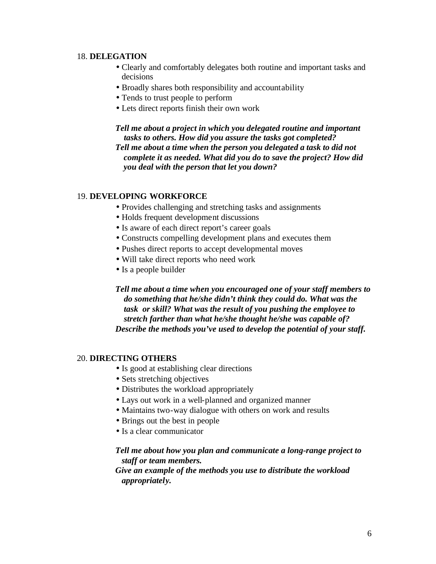### 18. **DELEGATION**

- Clearly and comfortably delegates both routine and important tasks and decisions
- Broadly shares both responsibility and accountability
- Tends to trust people to perform
- Lets direct reports finish their own work

*Tell me about a project in which you delegated routine and important tasks to others. How did you assure the tasks got completed? Tell me about a time when the person you delegated a task to did not complete it as needed. What did you do to save the project? How did you deal with the person that let you down?*

## 19. **DEVELOPING WORKFORCE**

- Provides challenging and stretching tasks and assignments
- Holds frequent development discussions
- Is aware of each direct report's career goals
- Constructs compelling development plans and executes them
- Pushes direct reports to accept developmental moves
- Will take direct reports who need work
- Is a people builder

*Tell me about a time when you encouraged one of your staff members to do something that he/she didn't think they could do. What was the task or skill? What was the result of you pushing the employee to stretch farther than what he/she thought he/she was capable of? Describe the methods you've used to develop the potential of your staff.*

## 20. **DIRECTING OTHERS**

- Is good at establishing clear directions
- Sets stretching objectives
- Distributes the workload appropriately
- Lays out work in a well-planned and organized manner
- Maintains two-way dialogue with others on work and results
- Brings out the best in people
- Is a clear communicator

## *Tell me about how you plan and communicate a long-range project to staff or team members.*

*Give an example of the methods you use to distribute the workload appropriately.*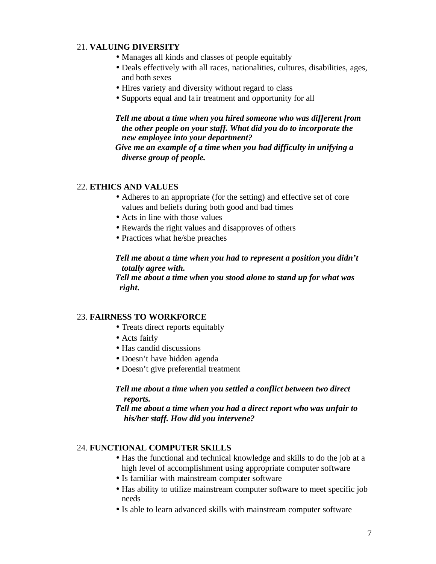# 21. **VALUING DIVERSITY**

- Manages all kinds and classes of people equitably
- Deals effectively with all races, nationalities, cultures, disabilities, ages, and both sexes
- Hires variety and diversity without regard to class
- Supports equal and fair treatment and opportunity for all

## *Tell me about a time when you hired someone who was different from the other people on your staff. What did you do to incorporate the new employee into your department?*

*Give me an example of a time when you had difficulty in unifying a diverse group of people.*

## 22. **ETHICS AND VALUES**

- Adheres to an appropriate (for the setting) and effective set of core values and beliefs during both good and bad times
- Acts in line with those values
- Rewards the right values and disapproves of others
- Practices what he/she preaches

## *Tell me about a time when you had to represent a position you didn't totally agree with.*

*Tell me about a time when you stood alone to stand up for what was right.*

# 23. **FAIRNESS TO WORKFORCE**

- Treats direct reports equitably
- Acts fairly
- Has candid discussions
- Doesn't have hidden agenda
- Doesn't give preferential treatment

## *Tell me about a time when you settled a conflict between two direct reports.*

## *Tell me about a time when you had a direct report who was unfair to his/her staff. How did you intervene?*

## 24. **FUNCTIONAL COMPUTER SKILLS**

- Has the functional and technical knowledge and skills to do the job at a high level of accomplishment using appropriate computer software
- Is familiar with mainstream computer software
- Has ability to utilize mainstream computer software to meet specific job needs
- Is able to learn advanced skills with mainstream computer software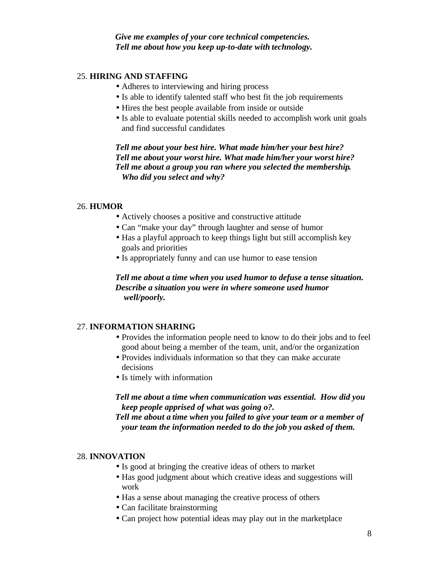*Give me examples of your core technical competencies. Tell me about how you keep up-to-date with technology.*

## 25. **HIRING AND STAFFING**

- Adheres to interviewing and hiring process
- Is able to identify talented staff who best fit the job requirements
- Hires the best people available from inside or outside
- Is able to evaluate potential skills needed to accomplish work unit goals and find successful candidates

*Tell me about your best hire. What made him/her your best hire? Tell me about your worst hire. What made him/her your worst hire? Tell me about a group you ran where you selected the membership. Who did you select and why?*

#### 26. **HUMOR**

- Actively chooses a positive and constructive attitude
- Can "make your day" through laughter and sense of humor
- Has a playful approach to keep things light but still accomplish key goals and priorities
- Is appropriately funny and can use humor to ease tension

## *Tell me about a time when you used humor to defuse a tense situation. Describe a situation you were in where someone used humor well/poorly.*

### 27. **INFORMATION SHARING**

- Provides the information people need to know to do their jobs and to feel good about being a member of the team, unit, and/or the organization
- Provides individuals information so that they can make accurate decisions
- Is timely with information

*Tell me about a time when communication was essential. How did you keep people apprised of what was going o?.*

*Tell me about a time when you failed to give your team or a member of your team the information needed to do the job you asked of them.*

#### 28. **INNOVATION**

- Is good at bringing the creative ideas of others to market
- Has good judgment about which creative ideas and suggestions will work
- Has a sense about managing the creative process of others
- Can facilitate brainstorming
- Can project how potential ideas may play out in the marketplace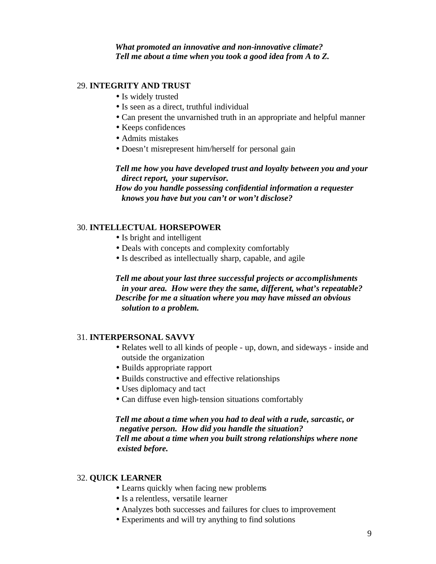## *What promoted an innovative and non-innovative climate? Tell me about a time when you took a good idea from A to Z.*

## 29. **INTEGRITY AND TRUST**

- Is widely trusted
- Is seen as a direct, truthful individual
- Can present the unvarnished truth in an appropriate and helpful manner
- Keeps confidences
- Admits mistakes
- Doesn't misrepresent him/herself for personal gain

*Tell me how you have developed trust and loyalty between you and your direct report, your supervisor.*

*How do you handle possessing confidential information a requester knows you have but you can't or won't disclose?*

## 30. **INTELLECTUAL HORSEPOWER**

- Is bright and intelligent
- Deals with concepts and complexity comfortably
- Is described as intellectually sharp, capable, and agile

*Tell me about your last three successful projects or accomplishments in your area. How were they the same, different, what's repeatable? Describe for me a situation where you may have missed an obvious solution to a problem.*

## 31. **INTERPERSONAL SAVVY**

- Relates well to all kinds of people up, down, and sideways inside and outside the organization
- Builds appropriate rapport
- Builds constructive and effective relationships
- Uses diplomacy and tact
- Can diffuse even high-tension situations comfortably

*Tell me about a time when you had to deal with a rude, sarcastic, or negative person. How did you handle the situation? Tell me about a time when you built strong relationships where none existed before.*

#### 32. **QUICK LEARNER**

- Learns quickly when facing new problems
- Is a relentless, versatile learner
- Analyzes both successes and failures for clues to improvement
- Experiments and will try anything to find solutions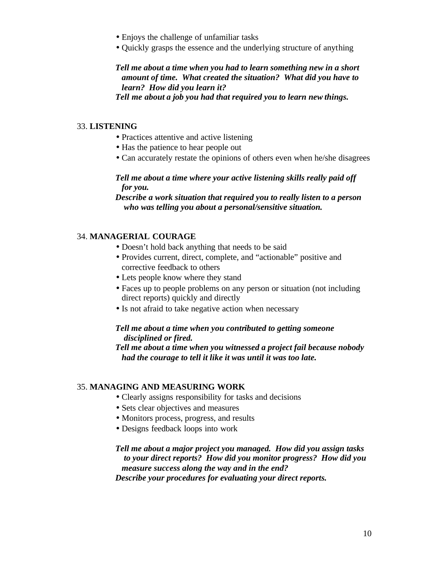- Enjoys the challenge of unfamiliar tasks
- Quickly grasps the essence and the underlying structure of anything

*Tell me about a time when you had to learn something new in a short amount of time. What created the situation? What did you have to learn? How did you learn it?*

*Tell me about a job you had that required you to learn new things.*

### 33. **LISTENING**

- Practices attentive and active listening
- Has the patience to hear people out
- Can accurately restate the opinions of others even when he/she disagrees

# *Tell me about a time where your active listening skills really paid off for you.*

*Describe a work situation that required you to really listen to a person who was telling you about a personal/sensitive situation.*

# 34. **MANAGERIAL COURAGE**

- Doesn't hold back anything that needs to be said
- Provides current, direct, complete, and "actionable" positive and corrective feedback to others
- Lets people know where they stand
- Faces up to people problems on any person or situation (not including direct reports) quickly and directly
- Is not afraid to take negative action when necessary

# *Tell me about a time when you contributed to getting someone disciplined or fired.*

*Tell me about a time when you witnessed a project fail because nobody had the courage to tell it like it was until it was too late.*

## 35. **MANAGING AND MEASURING WORK**

- Clearly assigns responsibility for tasks and decisions
- Sets clear objectives and measures
- Monitors process, progress, and results
- Designs feedback loops into work

## *Tell me about a major project you managed. How did you assign tasks to your direct reports? How did you monitor progress? How did you measure success along the way and in the end? Describe your procedures for evaluating your direct reports.*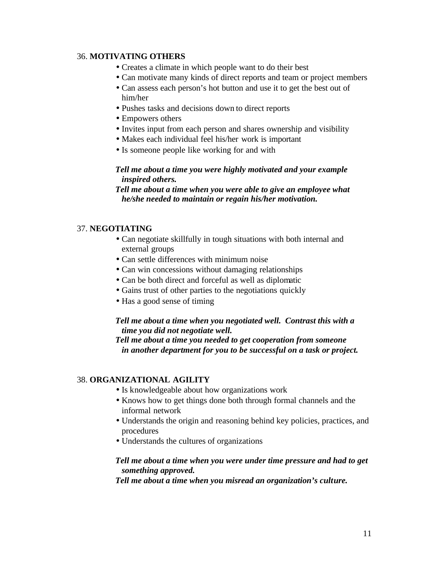### 36. **MOTIVATING OTHERS**

- Creates a climate in which people want to do their best
- Can motivate many kinds of direct reports and team or project members
- Can assess each person's hot button and use it to get the best out of him/her
- Pushes tasks and decisions down to direct reports
- Empowers others
- Invites input from each person and shares ownership and visibility
- Makes each individual feel his/her work is important
- Is someone people like working for and with

## *Tell me about a time you were highly motivated and your example inspired others.*

*Tell me about a time when you were able to give an employee what he/she needed to maintain or regain his/her motivation.*

# 37. **NEGOTIATING**

- Can negotiate skillfully in tough situations with both internal and external groups
- Can settle differences with minimum noise
- Can win concessions without damaging relationships
- Can be both direct and forceful as well as diplomatic
- Gains trust of other parties to the negotiations quickly
- Has a good sense of timing

## *Tell me about a time when you negotiated well. Contrast this with a time you did not negotiate well.*

*Tell me about a time you needed to get cooperation from someone in another department for you to be successful on a task or project.*

## 38. **ORGANIZATIONAL AGILITY**

- Is knowledgeable about how organizations work
- Knows how to get things done both through formal channels and the informal network
- Understands the origin and reasoning behind key policies, practices, and procedures
- Understands the cultures of organizations

## *Tell me about a time when you were under time pressure and had to get something approved.*

*Tell me about a time when you misread an organization's culture.*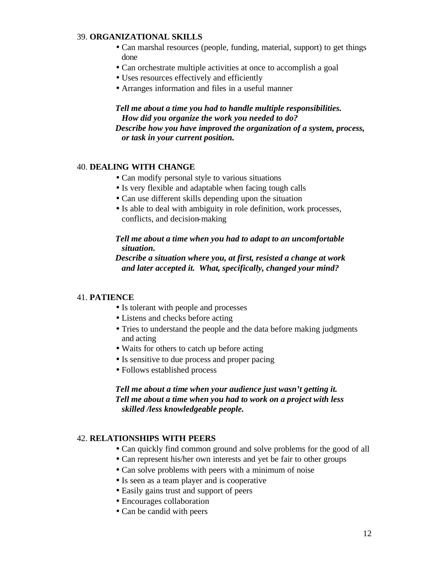### 39. **ORGANIZATIONAL SKILLS**

- Can marshal resources (people, funding, material, support) to get things done
- Can orchestrate multiple activities at once to accomplish a goal
- Uses resources effectively and efficiently
- Arranges information and files in a useful manner

## *Tell me about a time you had to handle multiple responsibilities. How did you organize the work you needed to do?*

*Describe how you have improved the organization of a system, process, or task in your current position.*

#### 40. **DEALING WITH CHANGE**

- Can modify personal style to various situations
- Is very flexible and adaptable when facing tough calls
- Can use different skills depending upon the situation
- Is able to deal with ambiguity in role definition, work processes, conflicts, and decision-making

## *Tell me about a time when you had to adapt to an uncomfortable situation.*

*Describe a situation where you, at first, resisted a change at work and later accepted it. What, specifically, changed your mind?*

#### 41. **PATIENCE**

- Is tolerant with people and processes
- Listens and checks before acting
- Tries to understand the people and the data before making judgments and acting
- Waits for others to catch up before acting
- Is sensitive to due process and proper pacing
- Follows established process

# *Tell me about a time when your audience just wasn't getting it. Tell me about a time when you had to work on a project with less skilled /less knowledgeable people.*

## 42. **RELATIONSHIPS WITH PEERS**

- Can quickly find common ground and solve problems for the good of all
- Can represent his/her own interests and yet be fair to other groups
- Can solve problems with peers with a minimum of noise
- Is seen as a team player and is cooperative
- Easily gains trust and support of peers
- Encourages collaboration
- Can be candid with peers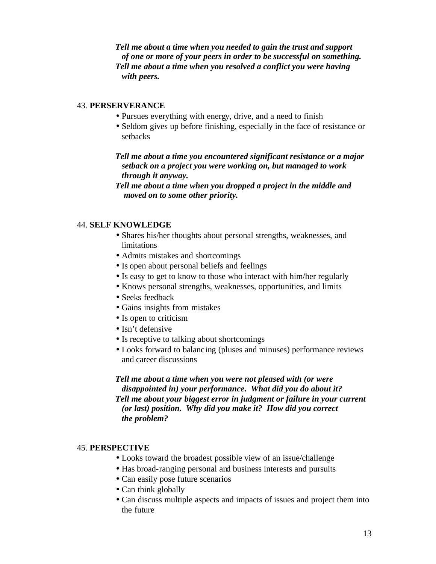*Tell me about a time when you needed to gain the trust and support of one or more of your peers in order to be successful on something. Tell me about a time when you resolved a conflict you were having with peers.*

### 43. **PERSERVERANCE**

- Pursues everything with energy, drive, and a need to finish
- Seldom gives up before finishing, especially in the face of resistance or setbacks

*Tell me about a time you encountered significant resistance or a major setback on a project you were working on, but managed to work through it anyway.*

*Tell me about a time when you dropped a project in the middle and moved on to some other priority.*

### 44. **SELF KNOWLEDGE**

- Shares his/her thoughts about personal strengths, weaknesses, and limitations
- Admits mistakes and shortcomings
- Is open about personal beliefs and feelings
- Is easy to get to know to those who interact with him/her regularly
- Knows personal strengths, weaknesses, opportunities, and limits
- Seeks feedback
- Gains insights from mistakes
- Is open to criticism
- Isn't defensive
- Is receptive to talking about shortcomings
- Looks forward to balanc ing (pluses and minuses) performance reviews and career discussions

# *Tell me about a time when you were not pleased with (or were disappointed in) your performance. What did you do about it? Tell me about your biggest error in judgment or failure in your current (or last) position. Why did you make it? How did you correct the problem?*

#### 45. **PERSPECTIVE**

- Looks toward the broadest possible view of an issue/challenge
- Has broad-ranging personal and business interests and pursuits
- Can easily pose future scenarios
- Can think globally
- Can discuss multiple aspects and impacts of issues and project them into the future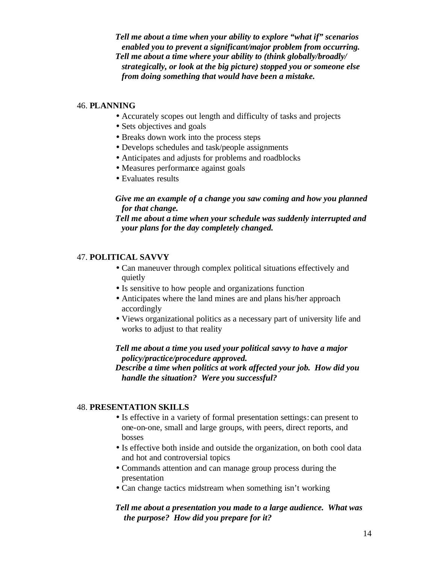*Tell me about a time when your ability to explore "what if" scenarios enabled you to prevent a significant/major problem from occurring. Tell me about a time where your ability to (think globally/broadly/ strategically, or look at the big picture) stopped you or someone else from doing something that would have been a mistake.*

### 46. **PLANNING**

- Accurately scopes out length and difficulty of tasks and projects
- Sets objectives and goals
- Breaks down work into the process steps
- Develops schedules and task/people assignments
- Anticipates and adjusts for problems and roadblocks
- Measures performance against goals
- Evaluates results

## *Give me an example of a change you saw coming and how you planned for that change.*

*Tell me about a time when your schedule was suddenly interrupted and your plans for the day completely changed.*

## 47. **POLITICAL SAVVY**

- Can maneuver through complex political situations effectively and quietly
- Is sensitive to how people and organizations function
- Anticipates where the land mines are and plans his/her approach accordingly
- Views organizational politics as a necessary part of university life and works to adjust to that reality

# *Tell me about a time you used your political savvy to have a major policy/practice/procedure approved.*

*Describe a time when politics at work affected your job. How did you handle the situation? Were you successful?*

## 48. **PRESENTATION SKILLS**

- Is effective in a variety of formal presentation settings: can present to one-on-one, small and large groups, with peers, direct reports, and bosses
- Is effective both inside and outside the organization, on both cool data and hot and controversial topics
- Commands attention and can manage group process during the presentation
- Can change tactics midstream when something isn't working

## *Tell me about a presentation you made to a large audience. What was the purpose? How did you prepare for it?*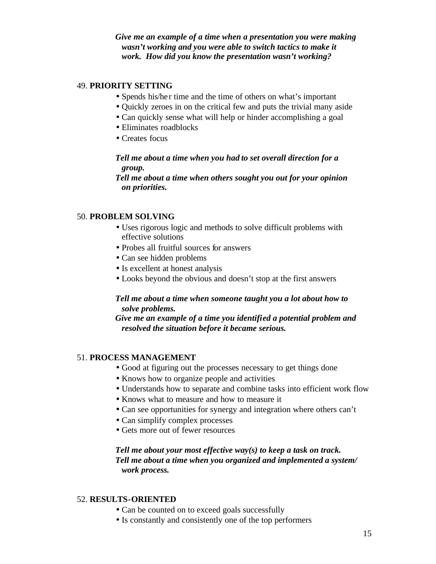*Give me an example of a time when a presentation you were making wasn't working and you were able to switch tactics to make it work. How did you know the presentation wasn't working?*

### 49. **PRIORITY SETTING**

- Spends his/her time and the time of others on what's important
- Quickly zeroes in on the critical few and puts the trivial many aside
- Can quickly sense what will help or hinder accomplishing a goal
- Eliminates roadblocks
- Creates focus

## *Tell me about a time when you had to set overall direction for a group.*

*Tell me about a time when others sought you out for your opinion on priorities.*

#### 50. **PROBLEM SOLVING**

- Uses rigorous logic and methods to solve difficult problems with effective solutions
- Probes all fruitful sources for answers
- Can see hidden problems
- Is excellent at honest analysis
- Looks beyond the obvious and doesn't stop at the first answers

## *Tell me about a time when someone taught you a lot about how to solve problems.*

*Give me an example of a time you identified a potential problem and resolved the situation before it became serious.*

#### 51. **PROCESS MANAGEMENT**

- Good at figuring out the processes necessary to get things done
- Knows how to organize people and activities
- Understands how to separate and combine tasks into efficient work flow
- Knows what to measure and how to measure it
- Can see opportunities for synergy and integration where others can't
- Can simplify complex processes
- Gets more out of fewer resources

# *Tell me about your most effective way(s) to keep a task on track. Tell me about a time when you organized and implemented a system/ work process.*

#### 52. **RESULTS-ORIENTED**

- Can be counted on to exceed goals successfully
- Is constantly and consistently one of the top performers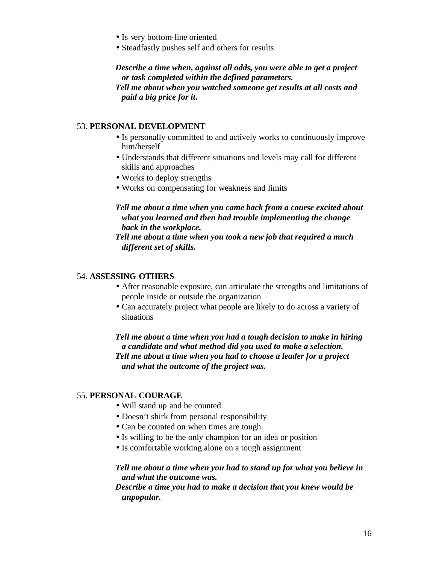- Is very bottom-line oriented
- Steadfastly pushes self and others for results

*Describe a time when, against all odds, you were able to get a project or task completed within the defined parameters. Tell me about when you watched someone get results at all costs and paid a big price for it.*

### 53. **PERSONAL DEVELOPMENT**

- Is personally committed to and actively works to continuously improve him/herself
- Understands that different situations and levels may call for different skills and approaches
- Works to deploy strengths
- Works on compensating for weakness and limits

## *Tell me about a time when you came back from a course excited about what you learned and then had trouble implementing the change back in the workplace.*

*Tell me about a time when you took a new job that required a much different set of skills.*

### 54. **ASSESSING OTHERS**

- After reasonable exposure, can articulate the strengths and limitations of people inside or outside the organization
- Can accurately project what people are likely to do across a variety of situations

*Tell me about a time when you had a tough decision to make in hiring a candidate and what method did you used to make a selection. Tell me about a time when you had to choose a leader for a project and what the outcome of the project was.*

### 55. **PERSONAL COURAGE**

- Will stand up and be counted
- Doesn't shirk from personal responsibility
- Can be counted on when times are tough
- Is willing to be the only champion for an idea or position
- Is comfortable working alone on a tough assignment

### *Tell me about a time when you had to stand up for what you believe in and what the outcome was.*

## *Describe a time you had to make a decision that you knew would be unpopular.*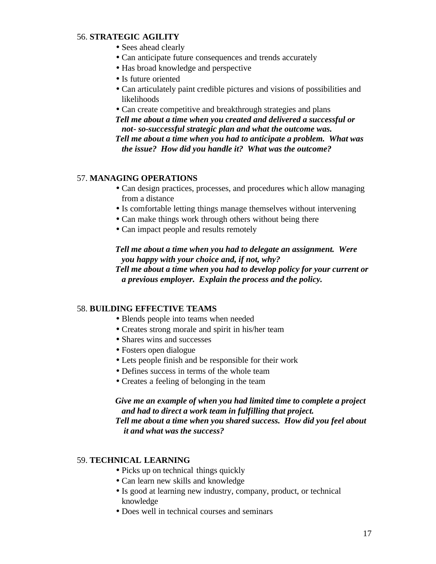# 56. **STRATEGIC AGILITY**

- Sees ahead clearly
- Can anticipate future consequences and trends accurately
- Has broad knowledge and perspective
- Is future oriented
- Can articulately paint credible pictures and visions of possibilities and likelihoods
- Can create competitive and breakthrough strategies and plans

*Tell me about a time when you created and delivered a successful or not- so-successful strategic plan and what the outcome was.*

*Tell me about a time when you had to anticipate a problem. What was the issue? How did you handle it? What was the outcome?*

## 57. **MANAGING OPERATIONS**

- Can design practices, processes, and procedures which allow managing from a distance
- Is comfortable letting things manage themselves without intervening
- Can make things work through others without being there
- Can impact people and results remotely

*Tell me about a time when you had to delegate an assignment. Were you happy with your choice and, if not, why? Tell me about a time when you had to develop policy for your current or a previous employer. Explain the process and the policy.*

#### 58. **BUILDING EFFECTIVE TEAMS**

- Blends people into teams when needed
- Creates strong morale and spirit in his/her team
- Shares wins and successes
- Fosters open dialogue
- Lets people finish and be responsible for their work
- Defines success in terms of the whole team
- Creates a feeling of belonging in the team

# *Give me an example of when you had limited time to complete a project and had to direct a work team in fulfilling that project.*

*Tell me about a time when you shared success. How did you feel about it and what was the success?*

## 59. **TECHNICAL LEARNING**

- Picks up on technical things quickly
- Can learn new skills and knowledge
- Is good at learning new industry, company, product, or technical knowledge
- Does well in technical courses and seminars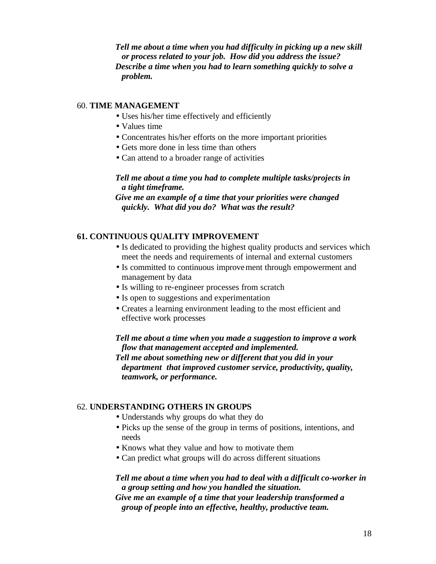*Tell me about a time when you had difficulty in picking up a new skill or process related to your job. How did you address the issue? Describe a time when you had to learn something quickly to solve a problem.*

## 60. **TIME MANAGEMENT**

- Uses his/her time effectively and efficiently
- Values time
- Concentrates his/her efforts on the more important priorities
- Gets more done in less time than others
- Can attend to a broader range of activities

*Tell me about a time you had to complete multiple tasks/projects in a tight timeframe.*

*Give me an example of a time that your priorities were changed quickly. What did you do? What was the result?*

# **61. CONTINUOUS QUALITY IMPROVEMENT**

- Is dedicated to providing the highest quality products and services which meet the needs and requirements of internal and external customers
- Is committed to continuous improvement through empowerment and management by data
- Is willing to re-engineer processes from scratch
- Is open to suggestions and experimentation
- Creates a learning environment leading to the most efficient and effective work processes

*Tell me about a time when you made a suggestion to improve a work flow that management accepted and implemented. Tell me about something new or different that you did in your department that improved customer service, productivity, quality, teamwork, or performance.* 

## 62. **UNDERSTANDING OTHERS IN GROUPS**

- Understands why groups do what they do
- Picks up the sense of the group in terms of positions, intentions, and needs
- Knows what they value and how to motivate them
- Can predict what groups will do across different situations

### *Tell me about a time when you had to deal with a difficult co-worker in a group setting and how you handled the situation. Give me an example of a time that your leadership transformed a group of people into an effective, healthy, productive team.*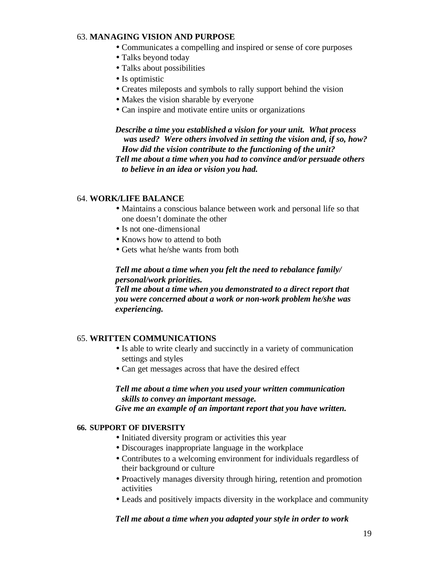## 63. **MANAGING VISION AND PURPOSE**

- Communicates a compelling and inspired or sense of core purposes
- Talks beyond today
- Talks about possibilities
- Is optimistic
- Creates mileposts and symbols to rally support behind the vision
- Makes the vision sharable by everyone
- Can inspire and motivate entire units or organizations

*Describe a time you established a vision for your unit. What process was used? Were others involved in setting the vision and, if so, how? How did the vision contribute to the functioning of the unit? Tell me about a time when you had to convince and/or persuade others to believe in an idea or vision you had.*

### 64. **WORK/LIFE BALANCE**

- Maintains a conscious balance between work and personal life so that one doesn't dominate the other
- Is not one-dimensional
- Knows how to attend to both
- Gets what he/she wants from both

*Tell me about a time when you felt the need to rebalance family/ personal/work priorities.*

*Tell me about a time when you demonstrated to a direct report that you were concerned about a work or non-work problem he/she was experiencing.*

## 65. **WRITTEN COMMUNICATIONS**

- Is able to write clearly and succinctly in a variety of communication settings and styles
- Can get messages across that have the desired effect

*Tell me about a time when you used your written communication skills to convey an important message.*

*Give me an example of an important report that you have written.*

#### **66. SUPPORT OF DIVERSITY**

- Initiated diversity program or activities this year
- Discourages inappropriate language in the workplace
- Contributes to a welcoming environment for individuals regardless of their background or culture
- Proactively manages diversity through hiring, retention and promotion activities
- Leads and positively impacts diversity in the workplace and community

#### *Tell me about a time when you adapted your style in order to work*